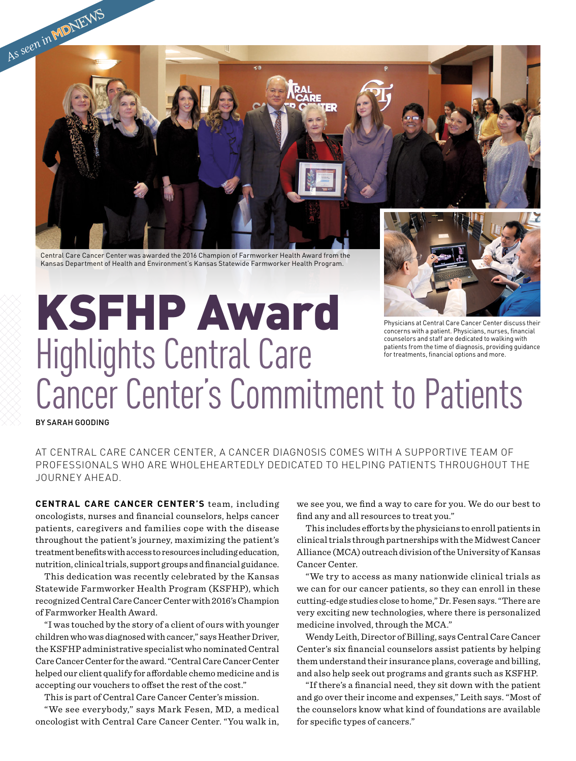

Central Care Cancer Center was awarded the 2016 Champion of Farmworker Health Award from the Kansas Department of Health and Environment's Kansas Statewide Farmworker Health Program.

## KSFHP Award Highlights Central Care Cancer Center's Commitment to Patients Physicians at Central Care Cancer Center discuss their concerns with a patient. Physicians, nurses, financial counselors and staff are dedicated to walking with patients from the time of diagnosis, providing guidance for treatments, financial options and more.

BY SARAH GOODING

AT CENTRAL CARE CANCER CENTER, A CANCER DIAGNOSIS COMES WITH A SUPPORTIVE TEAM OF PROFESSIONALS WHO ARE WHOLEHEARTEDLY DEDICATED TO HELPING PATIENTS THROUGHOUT THE JOURNEY AHEAD.

**CENTRAL CARE CANCER CENTER'S** team, including oncologists, nurses and financial counselors, helps cancer patients, caregivers and families cope with the disease throughout the patient's journey, maximizing the patient's treatment benefits with access to resources including education, nutrition, clinical trials, support groups and financial guidance.

This dedication was recently celebrated by the Kansas Statewide Farmworker Health Program (KSFHP), which recognized Central Care Cancer Center with 2016's Champion of Farmworker Health Award.

"I was touched by the story of a client of ours with younger children who was diagnosed with cancer," says Heather Driver, the KSFHP administrative specialist who nominated Central Care Cancer Center for the award. "Central Care Cancer Center helped our client qualify for affordable chemo medicine and is accepting our vouchers to offset the rest of the cost."

This is part of Central Care Cancer Center's mission.

"We see everybody," says Mark Fesen, MD, a medical oncologist with Central Care Cancer Center. "You walk in,

we see you, we find a way to care for you. We do our best to find any and all resources to treat you."

This includes efforts by the physicians to enroll patients in clinical trials through partnerships with the Midwest Cancer Alliance (MCA) outreach division of the University of Kansas Cancer Center.

"We try to access as many nationwide clinical trials as we can for our cancer patients, so they can enroll in these cutting-edge studies close to home," Dr. Fesen says. "There are very exciting new technologies, where there is personalized medicine involved, through the MCA."

Wendy Leith, Director of Billing, says Central Care Cancer Center's six financial counselors assist patients by helping them understand their insurance plans, coverage and billing, and also help seek out programs and grants such as KSFHP.

"If there's a financial need, they sit down with the patient and go over their income and expenses," Leith says. "Most of the counselors know what kind of foundations are available for specific types of cancers."